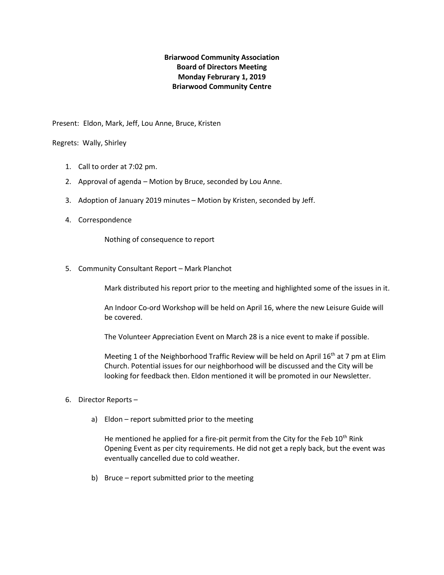## **Briarwood Community Association Board of Directors Meeting Monday Februrary 1, 2019 Briarwood Community Centre**

Present: Eldon, Mark, Jeff, Lou Anne, Bruce, Kristen

Regrets: Wally, Shirley

- 1. Call to order at 7:02 pm.
- 2. Approval of agenda Motion by Bruce, seconded by Lou Anne.
- 3. Adoption of January 2019 minutes Motion by Kristen, seconded by Jeff.
- 4. Correspondence

Nothing of consequence to report

5. Community Consultant Report – Mark Planchot

Mark distributed his report prior to the meeting and highlighted some of the issues in it.

An Indoor Co-ord Workshop will be held on April 16, where the new Leisure Guide will be covered.

The Volunteer Appreciation Event on March 28 is a nice event to make if possible.

Meeting 1 of the Neighborhood Traffic Review will be held on April 16<sup>th</sup> at 7 pm at Elim Church. Potential issues for our neighborhood will be discussed and the City will be looking for feedback then. Eldon mentioned it will be promoted in our Newsletter.

- 6. Director Reports
	- a) Eldon report submitted prior to the meeting

He mentioned he applied for a fire-pit permit from the City for the Feb  $10^{th}$  Rink Opening Event as per city requirements. He did not get a reply back, but the event was eventually cancelled due to cold weather.

b) Bruce – report submitted prior to the meeting